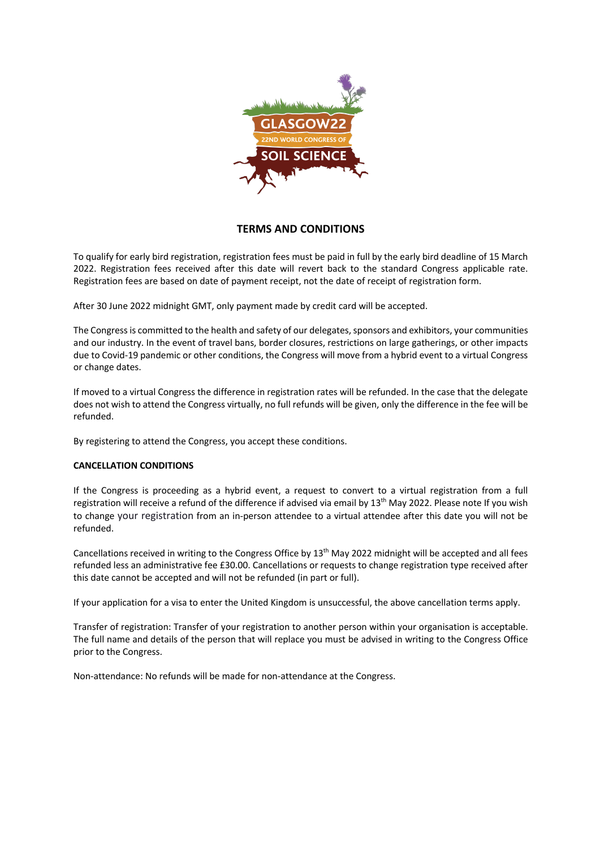

# **TERMS AND CONDITIONS**

To qualify for early bird registration, registration fees must be paid in full by the early bird deadline of 15 March 2022. Registration fees received after this date will revert back to the standard Congress applicable rate. Registration fees are based on date of payment receipt, not the date of receipt of registration form.

After 30 June 2022 midnight GMT, only payment made by credit card will be accepted.

The Congress is committed to the health and safety of our delegates, sponsors and exhibitors, your communities and our industry. In the event of travel bans, border closures, restrictions on large gatherings, or other impacts due to Covid-19 pandemic or other conditions, the Congress will move from a hybrid event to a virtual Congress or change dates.

If moved to a virtual Congress the difference in registration rates will be refunded. In the case that the delegate does not wish to attend the Congress virtually, no full refunds will be given, only the difference in the fee will be refunded.

By registering to attend the Congress, you accept these conditions.

# **CANCELLATION CONDITIONS**

If the Congress is proceeding as a hybrid event, a request to convert to a virtual registration from a full registration will receive a refund of the difference if advised via email by 13<sup>th</sup> May 2022. Please note If you wish to change your registration from an in-person attendee to a virtual attendee after this date you will not be refunded.

Cancellations received in writing to the Congress Office by 13<sup>th</sup> May 2022 midnight will be accepted and all fees refunded less an administrative fee £30.00. Cancellations or requests to change registration type received after this date cannot be accepted and will not be refunded (in part or full).

If your application for a visa to enter the United Kingdom is unsuccessful, the above cancellation terms apply.

Transfer of registration: Transfer of your registration to another person within your organisation is acceptable. The full name and details of the person that will replace you must be advised in writing to the Congress Office prior to the Congress.

Non-attendance: No refunds will be made for non-attendance at the Congress.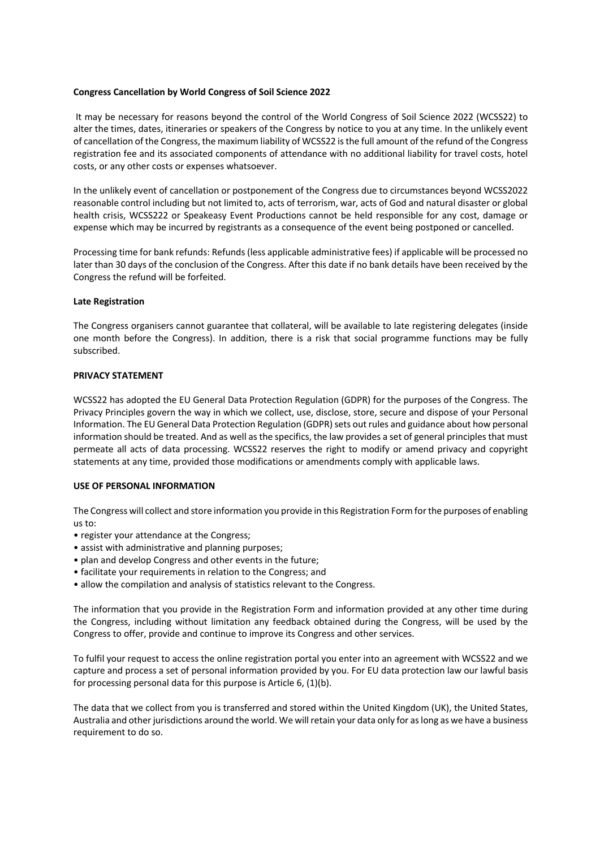### **Congress Cancellation by World Congress of Soil Science 2022**

It may be necessary for reasons beyond the control of the World Congress of Soil Science 2022 (WCSS22) to alter the times, dates, itineraries or speakers of the Congress by notice to you at any time. In the unlikely event of cancellation of the Congress, the maximum liability of WCSS22 is the full amount of the refund of the Congress registration fee and its associated components of attendance with no additional liability for travel costs, hotel costs, or any other costs or expenses whatsoever.

In the unlikely event of cancellation or postponement of the Congress due to circumstances beyond WCSS2022 reasonable control including but not limited to, acts of terrorism, war, acts of God and natural disaster or global health crisis, WCSS222 or Speakeasy Event Productions cannot be held responsible for any cost, damage or expense which may be incurred by registrants as a consequence of the event being postponed or cancelled.

Processing time for bank refunds: Refunds (less applicable administrative fees) if applicable will be processed no later than 30 days of the conclusion of the Congress. After this date if no bank details have been received by the Congress the refund will be forfeited.

## **Late Registration**

The Congress organisers cannot guarantee that collateral, will be available to late registering delegates (inside one month before the Congress). In addition, there is a risk that social programme functions may be fully subscribed.

### **PRIVACY STATEMENT**

WCSS22 has adopted the EU General Data Protection Regulation (GDPR) for the purposes of the Congress. The Privacy Principles govern the way in which we collect, use, disclose, store, secure and dispose of your Personal Information. The EU General Data Protection Regulation (GDPR) sets out rules and guidance about how personal information should be treated. And as well as the specifics, the law provides a set of general principles that must permeate all acts of data processing. WCSS22 reserves the right to modify or amend privacy and copyright statements at any time, provided those modifications or amendments comply with applicable laws.

#### **USE OF PERSONAL INFORMATION**

The Congress will collect and store information you provide in this Registration Form for the purposes of enabling us to:

- register your attendance at the Congress;
- assist with administrative and planning purposes;
- plan and develop Congress and other events in the future;
- facilitate your requirements in relation to the Congress; and
- allow the compilation and analysis of statistics relevant to the Congress.

The information that you provide in the Registration Form and information provided at any other time during the Congress, including without limitation any feedback obtained during the Congress, will be used by the Congress to offer, provide and continue to improve its Congress and other services.

To fulfil your request to access the online registration portal you enter into an agreement with WCSS22 and we capture and process a set of personal information provided by you. For EU data protection law our lawful basis for processing personal data for this purpose is Article 6, (1)(b).

The data that we collect from you is transferred and stored within the United Kingdom (UK), the United States, Australia and other jurisdictions around the world. We will retain your data only for as long as we have a business requirement to do so.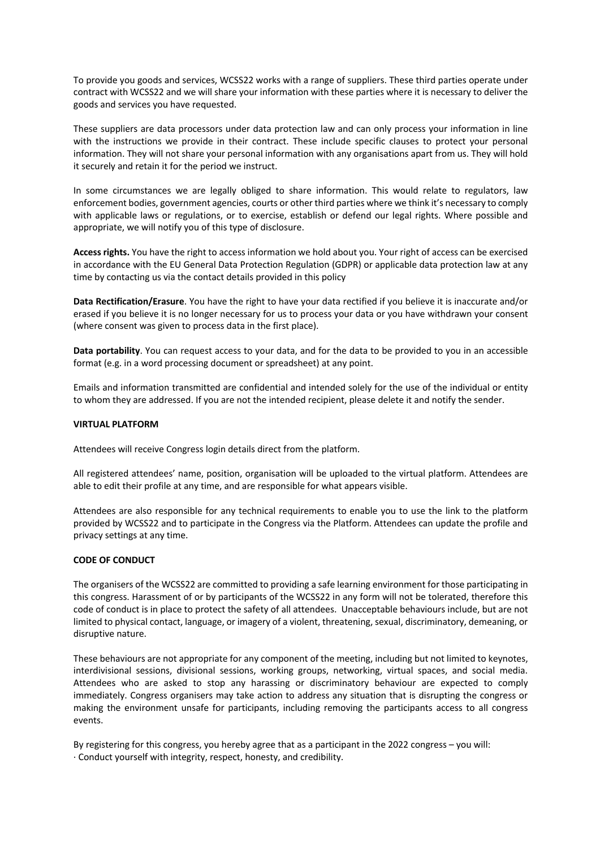To provide you goods and services, WCSS22 works with a range of suppliers. These third parties operate under contract with WCSS22 and we will share your information with these parties where it is necessary to deliver the goods and services you have requested.

These suppliers are data processors under data protection law and can only process your information in line with the instructions we provide in their contract. These include specific clauses to protect your personal information. They will not share your personal information with any organisations apart from us. They will hold it securely and retain it for the period we instruct.

In some circumstances we are legally obliged to share information. This would relate to regulators, law enforcement bodies, government agencies, courts or other third parties where we think it's necessary to comply with applicable laws or regulations, or to exercise, establish or defend our legal rights. Where possible and appropriate, we will notify you of this type of disclosure.

**Access rights.** You have the right to access information we hold about you. Your right of access can be exercised in accordance with the EU General Data Protection Regulation (GDPR) or applicable data protection law at any time by contacting us via the contact details provided in this policy

**Data Rectification/Erasure**. You have the right to have your data rectified if you believe it is inaccurate and/or erased if you believe it is no longer necessary for us to process your data or you have withdrawn your consent (where consent was given to process data in the first place).

**Data portability**. You can request access to your data, and for the data to be provided to you in an accessible format (e.g. in a word processing document or spreadsheet) at any point.

Emails and information transmitted are confidential and intended solely for the use of the individual or entity to whom they are addressed. If you are not the intended recipient, please delete it and notify the sender.

## **VIRTUAL PLATFORM**

Attendees will receive Congress login details direct from the platform.

All registered attendees' name, position, organisation will be uploaded to the virtual platform. Attendees are able to edit their profile at any time, and are responsible for what appears visible.

Attendees are also responsible for any technical requirements to enable you to use the link to the platform provided by WCSS22 and to participate in the Congress via the Platform. Attendees can update the profile and privacy settings at any time.

## **CODE OF CONDUCT**

The organisers of the WCSS22 are committed to providing a safe learning environment for those participating in this congress. Harassment of or by participants of the WCSS22 in any form will not be tolerated, therefore this code of conduct is in place to protect the safety of all attendees. Unacceptable behaviours include, but are not limited to physical contact, language, or imagery of a violent, threatening, sexual, discriminatory, demeaning, or disruptive nature.

These behaviours are not appropriate for any component of the meeting, including but not limited to keynotes, interdivisional sessions, divisional sessions, working groups, networking, virtual spaces, and social media. Attendees who are asked to stop any harassing or discriminatory behaviour are expected to comply immediately. Congress organisers may take action to address any situation that is disrupting the congress or making the environment unsafe for participants, including removing the participants access to all congress events.

By registering for this congress, you hereby agree that as a participant in the 2022 congress – you will: · Conduct yourself with integrity, respect, honesty, and credibility.